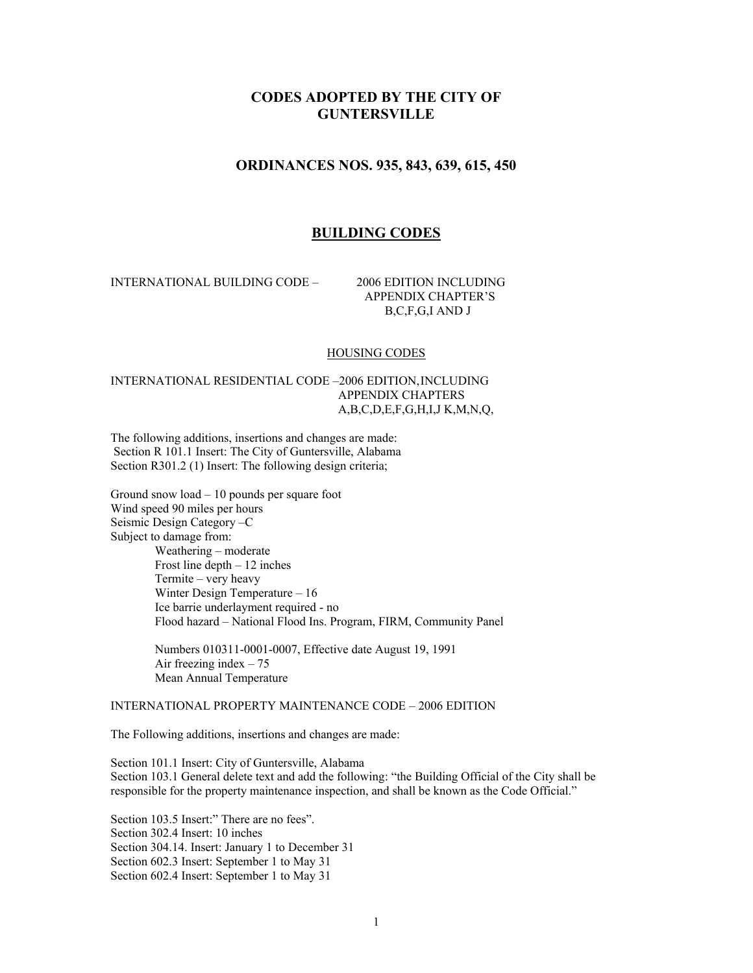# **CODES ADOPTED BY THE CITY OF GUNTERSVILLE**

# **ORDINANCES NOS. 935, 843, 639, 615, 450**

# **BUILDING CODES**

INTERNATIONAL BUILDING CODE – 2006 EDITION INCLUDING

 APPENDIX CHAPTER'S B,C,F,G,I AND J

#### HOUSING CODES

# INTERNATIONAL RESIDENTIAL CODE –2006 EDITION,INCLUDING APPENDIX CHAPTERS A,B,C,D,E,F,G,H,I,J K,M,N,Q,

The following additions, insertions and changes are made: Section R 101.1 Insert: The City of Guntersville, Alabama Section R301.2 (1) Insert: The following design criteria;

Ground snow load – 10 pounds per square foot Wind speed 90 miles per hours Seismic Design Category –C Subject to damage from: Weathering – moderate Frost line depth – 12 inches Termite – very heavy Winter Design Temperature – 16 Ice barrie underlayment required - no Flood hazard – National Flood Ins. Program, FIRM, Community Panel

> Numbers 010311-0001-0007, Effective date August 19, 1991 Air freezing index  $-75$ Mean Annual Temperature

# INTERNATIONAL PROPERTY MAINTENANCE CODE – 2006 EDITION

The Following additions, insertions and changes are made:

Section 101.1 Insert: City of Guntersville, Alabama Section 103.1 General delete text and add the following: "the Building Official of the City shall be responsible for the property maintenance inspection, and shall be known as the Code Official."

Section 103.5 Insert:" There are no fees". Section 302.4 Insert: 10 inches Section 304.14. Insert: January 1 to December 31 Section 602.3 Insert: September 1 to May 31 Section 602.4 Insert: September 1 to May 31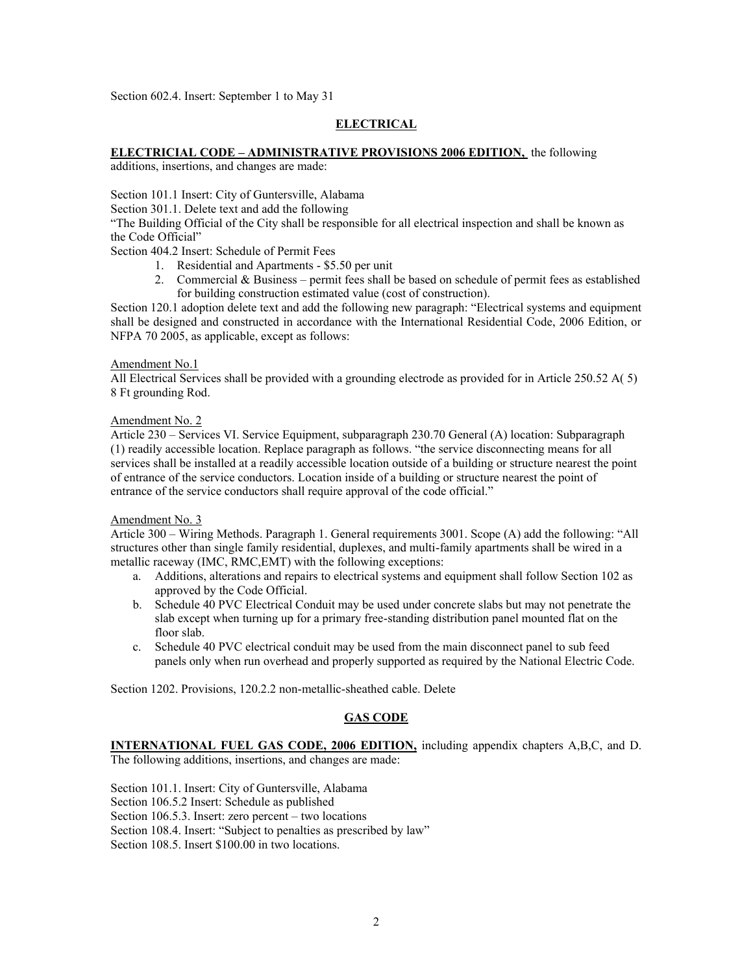Section 602.4. Insert: September 1 to May 31

# **ELECTRICAL**

# **ELECTRICIAL CODE – ADMINISTRATIVE PROVISIONS 2006 EDITION,** the following

additions, insertions, and changes are made:

Section 101.1 Insert: City of Guntersville, Alabama

Section 301.1. Delete text and add the following

"The Building Official of the City shall be responsible for all electrical inspection and shall be known as the Code Official"

Section 404.2 Insert: Schedule of Permit Fees

- 1. Residential and Apartments \$5.50 per unit
- 2. Commercial & Business permit fees shall be based on schedule of permit fees as established for building construction estimated value (cost of construction).

Section 120.1 adoption delete text and add the following new paragraph: "Electrical systems and equipment shall be designed and constructed in accordance with the International Residential Code, 2006 Edition, or NFPA 70 2005, as applicable, except as follows:

# Amendment No.1

All Electrical Services shall be provided with a grounding electrode as provided for in Article 250.52 A( 5) 8 Ft grounding Rod.

# Amendment No. 2

Article 230 – Services VI. Service Equipment, subparagraph 230.70 General (A) location: Subparagraph (1) readily accessible location. Replace paragraph as follows. "the service disconnecting means for all services shall be installed at a readily accessible location outside of a building or structure nearest the point of entrance of the service conductors. Location inside of a building or structure nearest the point of entrance of the service conductors shall require approval of the code official."

### Amendment No. 3

Article 300 – Wiring Methods. Paragraph 1. General requirements 3001. Scope (A) add the following: "All structures other than single family residential, duplexes, and multi-family apartments shall be wired in a metallic raceway (IMC, RMC,EMT) with the following exceptions:

- a. Additions, alterations and repairs to electrical systems and equipment shall follow Section 102 as approved by the Code Official.
- b. Schedule 40 PVC Electrical Conduit may be used under concrete slabs but may not penetrate the slab except when turning up for a primary free-standing distribution panel mounted flat on the floor slab.
- c. Schedule 40 PVC electrical conduit may be used from the main disconnect panel to sub feed panels only when run overhead and properly supported as required by the National Electric Code.

Section 1202. Provisions, 120.2.2 non-metallic-sheathed cable. Delete

# **GAS CODE**

**INTERNATIONAL FUEL GAS CODE, 2006 EDITION,** including appendix chapters A,B,C, and D. The following additions, insertions, and changes are made:

Section 101.1. Insert: City of Guntersville, Alabama

Section 106.5.2 Insert: Schedule as published

Section 106.5.3. Insert: zero percent – two locations

Section 108.4. Insert: "Subject to penalties as prescribed by law"

Section 108.5. Insert \$100.00 in two locations.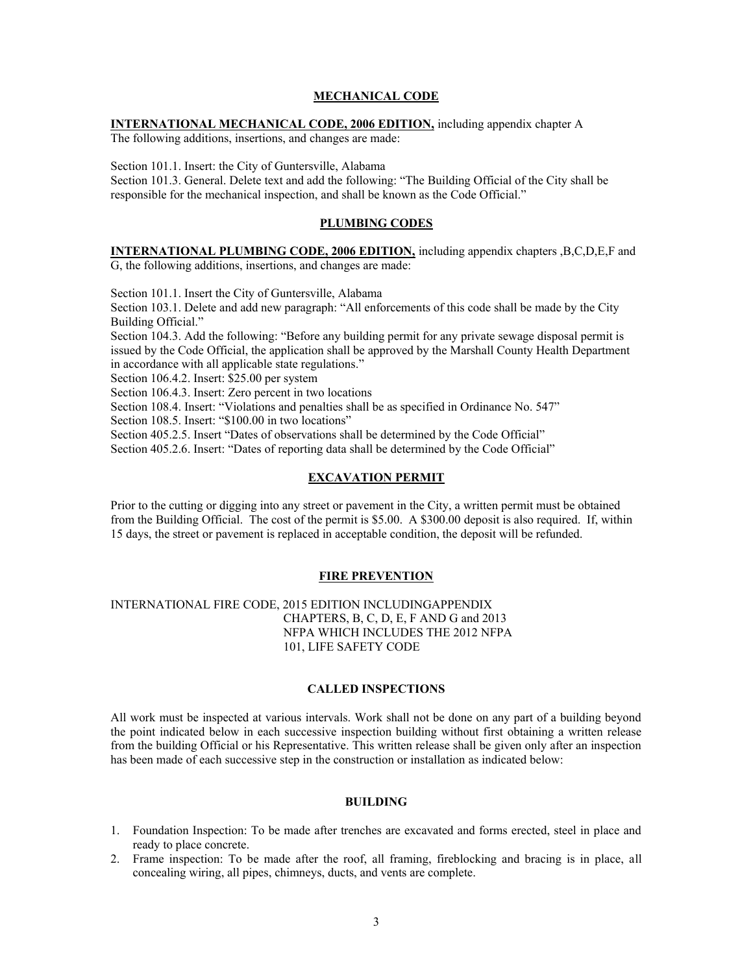#### **MECHANICAL CODE**

# **INTERNATIONAL MECHANICAL CODE, 2006 EDITION,** including appendix chapter A

The following additions, insertions, and changes are made:

Section 101.1. Insert: the City of Guntersville, Alabama

Section 101.3. General. Delete text and add the following: "The Building Official of the City shall be responsible for the mechanical inspection, and shall be known as the Code Official."

#### **PLUMBING CODES**

**INTERNATIONAL PLUMBING CODE, 2006 EDITION,** including appendix chapters ,B,C,D,E,F and G, the following additions, insertions, and changes are made:

Section 101.1. Insert the City of Guntersville, Alabama

Section 103.1. Delete and add new paragraph: "All enforcements of this code shall be made by the City Building Official."

Section 104.3. Add the following: "Before any building permit for any private sewage disposal permit is issued by the Code Official, the application shall be approved by the Marshall County Health Department in accordance with all applicable state regulations."

Section 106.4.2. Insert: \$25.00 per system

Section 106.4.3. Insert: Zero percent in two locations

Section 108.4. Insert: "Violations and penalties shall be as specified in Ordinance No. 547"

Section 108.5. Insert: "\$100.00 in two locations"

Section 405.2.5. Insert "Dates of observations shall be determined by the Code Official"

Section 405.2.6. Insert: "Dates of reporting data shall be determined by the Code Official"

## **EXCAVATION PERMIT**

Prior to the cutting or digging into any street or pavement in the City, a written permit must be obtained from the Building Official. The cost of the permit is \$5.00. A \$300.00 deposit is also required. If, within 15 days, the street or pavement is replaced in acceptable condition, the deposit will be refunded.

#### **FIRE PREVENTION**

INTERNATIONAL FIRE CODE, 2015 EDITION INCLUDINGAPPENDIX CHAPTERS, B, C, D, E, F AND G and 2013 NFPA WHICH INCLUDES THE 2012 NFPA 101, LIFE SAFETY CODE

#### **CALLED INSPECTIONS**

All work must be inspected at various intervals. Work shall not be done on any part of a building beyond the point indicated below in each successive inspection building without first obtaining a written release from the building Official or his Representative. This written release shall be given only after an inspection has been made of each successive step in the construction or installation as indicated below:

## **BUILDING**

- 1. Foundation Inspection: To be made after trenches are excavated and forms erected, steel in place and ready to place concrete.
- 2. Frame inspection: To be made after the roof, all framing, fireblocking and bracing is in place, all concealing wiring, all pipes, chimneys, ducts, and vents are complete.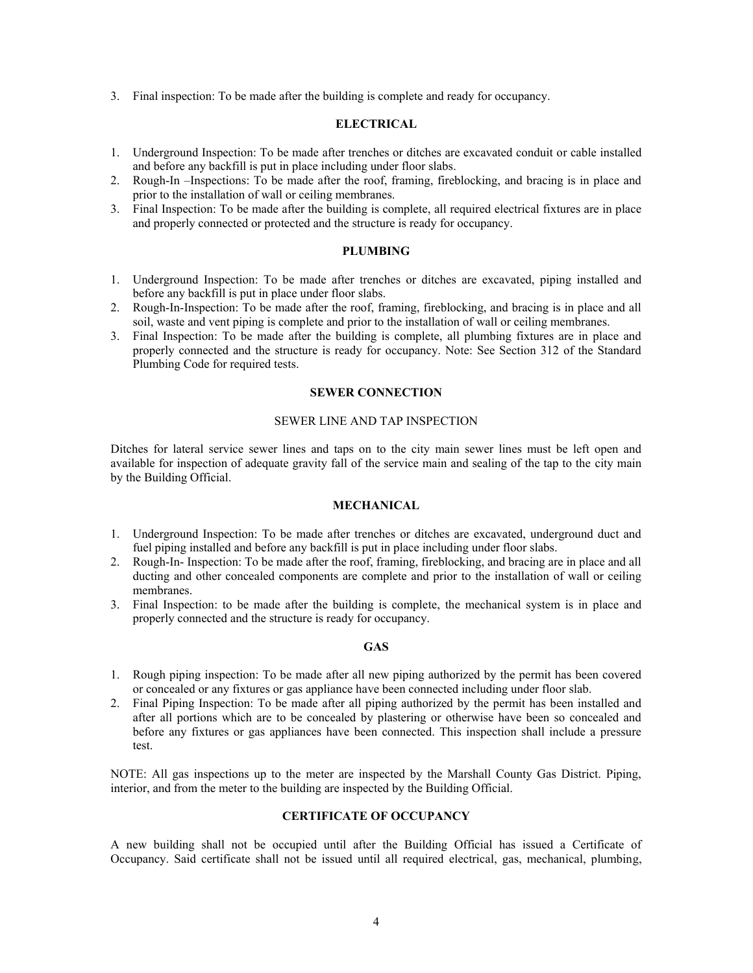3. Final inspection: To be made after the building is complete and ready for occupancy.

# **ELECTRICAL**

- 1. Underground Inspection: To be made after trenches or ditches are excavated conduit or cable installed and before any backfill is put in place including under floor slabs.
- 2. Rough-In –Inspections: To be made after the roof, framing, fireblocking, and bracing is in place and prior to the installation of wall or ceiling membranes.
- 3. Final Inspection: To be made after the building is complete, all required electrical fixtures are in place and properly connected or protected and the structure is ready for occupancy.

# **PLUMBING**

- 1. Underground Inspection: To be made after trenches or ditches are excavated, piping installed and before any backfill is put in place under floor slabs.
- 2. Rough-In-Inspection: To be made after the roof, framing, fireblocking, and bracing is in place and all soil, waste and vent piping is complete and prior to the installation of wall or ceiling membranes.
- 3. Final Inspection: To be made after the building is complete, all plumbing fixtures are in place and properly connected and the structure is ready for occupancy. Note: See Section 312 of the Standard Plumbing Code for required tests.

# **SEWER CONNECTION**

#### SEWER LINE AND TAP INSPECTION

Ditches for lateral service sewer lines and taps on to the city main sewer lines must be left open and available for inspection of adequate gravity fall of the service main and sealing of the tap to the city main by the Building Official.

### **MECHANICAL**

- 1. Underground Inspection: To be made after trenches or ditches are excavated, underground duct and fuel piping installed and before any backfill is put in place including under floor slabs.
- 2. Rough-In- Inspection: To be made after the roof, framing, fireblocking, and bracing are in place and all ducting and other concealed components are complete and prior to the installation of wall or ceiling membranes.
- 3. Final Inspection: to be made after the building is complete, the mechanical system is in place and properly connected and the structure is ready for occupancy.

### **GAS**

- 1. Rough piping inspection: To be made after all new piping authorized by the permit has been covered or concealed or any fixtures or gas appliance have been connected including under floor slab.
- 2. Final Piping Inspection: To be made after all piping authorized by the permit has been installed and after all portions which are to be concealed by plastering or otherwise have been so concealed and before any fixtures or gas appliances have been connected. This inspection shall include a pressure test.

NOTE: All gas inspections up to the meter are inspected by the Marshall County Gas District. Piping, interior, and from the meter to the building are inspected by the Building Official.

## **CERTIFICATE OF OCCUPANCY**

A new building shall not be occupied until after the Building Official has issued a Certificate of Occupancy. Said certificate shall not be issued until all required electrical, gas, mechanical, plumbing,